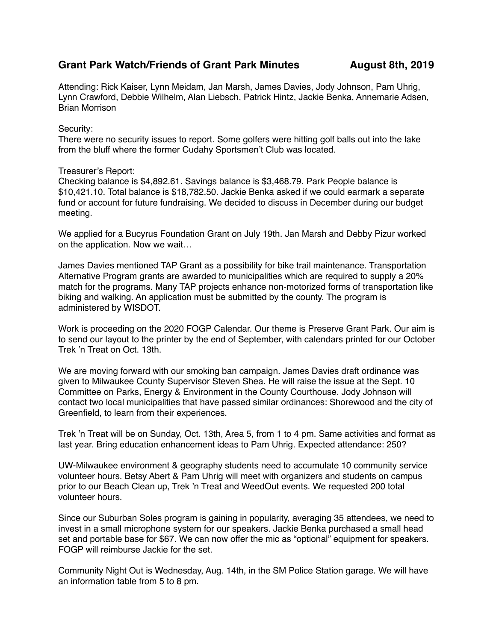## Grant Park Watch/Friends of Grant Park Minutes **August 8th, 2019**

Attending: Rick Kaiser, Lynn Meidam, Jan Marsh, James Davies, Jody Johnson, Pam Uhrig, Lynn Crawford, Debbie Wilhelm, Alan Liebsch, Patrick Hintz, Jackie Benka, Annemarie Adsen, Brian Morrison

## Security:

There were no security issues to report. Some golfers were hitting golf balls out into the lake from the bluff where the former Cudahy Sportsmen't Club was located.

## Treasurer's Report:

Checking balance is \$4,892.61. Savings balance is \$3,468.79. Park People balance is \$10,421.10. Total balance is \$18,782.50. Jackie Benka asked if we could earmark a separate fund or account for future fundraising. We decided to discuss in December during our budget meeting.

We applied for a Bucyrus Foundation Grant on July 19th. Jan Marsh and Debby Pizur worked on the application. Now we wait…

James Davies mentioned TAP Grant as a possibility for bike trail maintenance. Transportation Alternative Program grants are awarded to municipalities which are required to supply a 20% match for the programs. Many TAP projects enhance non-motorized forms of transportation like biking and walking. An application must be submitted by the county. The program is administered by WISDOT.

Work is proceeding on the 2020 FOGP Calendar. Our theme is Preserve Grant Park. Our aim is to send our layout to the printer by the end of September, with calendars printed for our October Trek 'n Treat on Oct. 13th.

We are moving forward with our smoking ban campaign. James Davies draft ordinance was given to Milwaukee County Supervisor Steven Shea. He will raise the issue at the Sept. 10 Committee on Parks, Energy & Environment in the County Courthouse. Jody Johnson will contact two local municipalities that have passed similar ordinances: Shorewood and the city of Greenfield, to learn from their experiences.

Trek 'n Treat will be on Sunday, Oct. 13th, Area 5, from 1 to 4 pm. Same activities and format as last year. Bring education enhancement ideas to Pam Uhrig. Expected attendance: 250?

UW-Milwaukee environment & geography students need to accumulate 10 community service volunteer hours. Betsy Abert & Pam Uhrig will meet with organizers and students on campus prior to our Beach Clean up, Trek 'n Treat and WeedOut events. We requested 200 total volunteer hours.

Since our Suburban Soles program is gaining in popularity, averaging 35 attendees, we need to invest in a small microphone system for our speakers. Jackie Benka purchased a small head set and portable base for \$67. We can now offer the mic as "optional" equipment for speakers. FOGP will reimburse Jackie for the set.

Community Night Out is Wednesday, Aug. 14th, in the SM Police Station garage. We will have an information table from 5 to 8 pm.